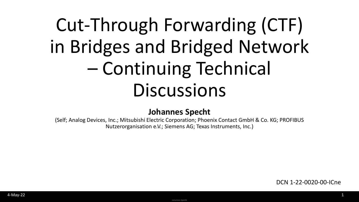# Cut-Through Forwarding (CTF) in Bridges and Bridged Network – Continuing Technical **Discussions**

#### **Johannes Specht**

(Self; Analog Devices, Inc.; Mitsubishi Electric Corporation; Phoenix Contact GmbH & Co. KG; PROFIBUS Nutzerorganisation e.V.; Siemens AG; Texas Instruments, Inc.)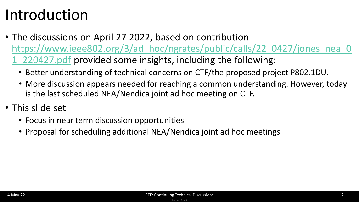### Introduction

- The discussions on April 27 2022, based on contribution https://www.ieee802.org/3/ad hoc/ngrates/public/calls/22\_0427/jones\_nea\_0 1\_220427.pdf provided some insights, including the following:
	- Better understanding of technical concerns on CTF/the proposed project P802.1DU.
	- More discussion appears needed for reaching a common understanding. However, today is the last scheduled NEA/Nendica joint ad hoc meeting on CTF.
- This slide set
	- Focus in near term discussion opportunities
	- Proposal for scheduling additional NEA/Nendica joint ad hoc meetings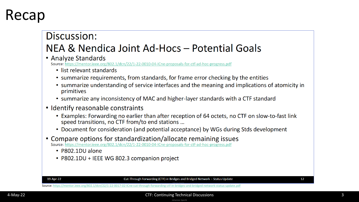### Recap

### Discussion: NEA & Nendica Joint Ad-Hocs - Potential Goals

• Analyze Standards

Source: https://mentor.ieee.org/802.1/dcn/22/1-22-0010-04-ICne-proposals-for-ctf-ad-hoc-progress.pdf

- list relevant standards
- summarize requirements, from standards, for frame error checking by the entities
- summarize understanding of service interfaces and the meaning and implications of atomicity in primitives
- summarize any inconsistency of MAC and higher-layer standards with a CTF standard
- Identify reasonable constraints
	- Examples: Forwarding no earlier than after reception of 64 octets, no CTF on slow-to-fast link speed transitions, no CTF from/to end stations ...
	- Document for consideration (and potential acceptance) by WGs during Stds development
- Compare options for standardization/allocate remaining issues Source: https://mentor.ieee.org/802.1/dcn/22/1-22-0010-04-ICne-proposals-for-ctf-ad-hoc-progress.pdf
	- P802.1DU alone
	- P802.1DU + IEEE WG 802.3 companion project

19-Apr-22

Cut-Through Forwarding (CTF) in Bridges and Bridged Network - Status Update

12

Source: <https://mentor.ieee.org/802.1/dcn/22/1-22-0017-02-ICne-cut-through-forwarding-ctf-in-bridges-and-bridged-network-status-update.pdf>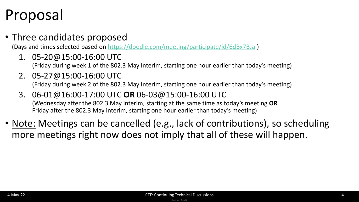## Proposal

#### • Three candidates proposed

(Days and times selected based on<https://doodle.com/meeting/participate/id/6dBx7BJa> )

1. 05-20@15:00-16:00 UTC

(Friday during week 1 of the 802.3 May Interim, starting one hour earlier than today's meeting)

- 2. 05-27@15:00-16:00 UTC (Friday during week 2 of the 802.3 May Interim, starting one hour earlier than today's meeting)
- 3. 06-01@16:00-17:00 UTC **OR** 06-03@15:00-16:00 UTC (Wednesday after the 802.3 May interim, starting at the same time as today's meeting **OR** Friday after the 802.3 May interim, starting one hour earlier than today's meeting)
- Note: Meetings can be cancelled (e.g., lack of contributions), so scheduling more meetings right now does not imply that all of these will happen.